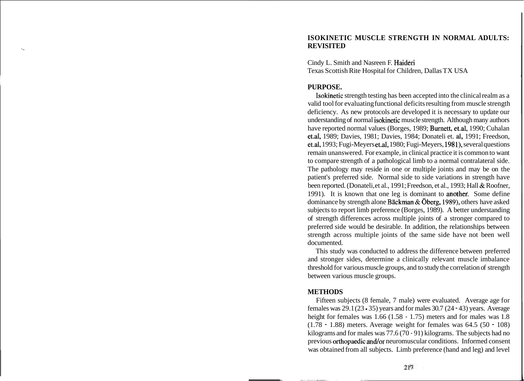# **ISOKINETIC MUSCLE STRENGTH IN NORMAL ADULTS:**  L **REVISITED**

Cindy L. Smith and Nasreen F. Haideri Texas Scottish Rite Hospital for Children, Dallas TX USA

### **PURPOSE.**

Isokinetic strength testing has been accepted into the clinical realm as a valid tool for evaluating functional deficits resulting from muscle strength deficiency. As new protocols are developed it is necessary to update our understanding of normal isokinetic muscle strength. Although many authors have reported normal values (Borges, 1989; Burnett, et.al, 1990; Cuhalan et.al, 1989; Davies, 1981; Davies, 1984; Donateli et. **al.** 1991; Freedson, et.al, 1993; Fugi-Meyers et.al, 1980; Fugi-Meyers, 1981), several questions remain unanswered. For example, in clinical practice it is common to want to compare strength of a pathological limb to a normal contralateral side. The pathology may reside in one or multiple joints and may be on the patient's preferred side. Normal side to side variations in strength have been reported. (Donateli, et al., 1991; Freedson, et al., 1993; Hall & Roofner, 1991). It is known that one leg is dominant to another. Some define dominance by strength alone Bäckman & Öberg, 1989), others have asked subjects to report limb preference (Borges, 1989). A better understanding of strength differences across multiple joints of a stronger compared to preferred side would be desirable. In addition, the relationships between strength across multiple joints of the same side have not been well documented.

This study was conducted to address the difference between preferred and stronger sides, determine a clinically relevant muscle imbalance threshold for various muscle groups, and to study the correlation of strength between various muscle groups.

# **METHODS**

Fifteen subjects (8 female, 7 male) were evaluated. Average age for females was  $29.1(23 \cdot 35)$  years and for males  $30.7(24 \cdot 43)$  years. Average height for females was 1.66 (1.58 - 1.75) meters and for males was 1.8  $(1.78 \cdot 1.88)$  meters. Average weight for females was  $64.5 (50 \cdot 108)$ kilograms and for males was 77.6 (70 - 91) kilograms. The subjects had no previous orthopaedic and/or neuromuscular conditions. Informed consent was obtained from all subjects. Limb preference (hand and leg) and level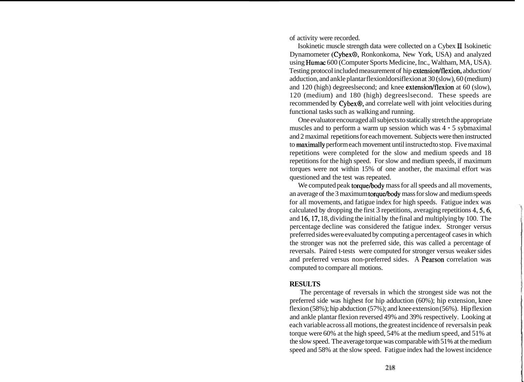of activity were recorded.

Isokinetic muscle strength data were collected on a Cybex **I1** Isokinetic Dynamometer (Cybex®, Ronkonkoma, New York, USA) and analyzed using Humac 600 (Computer Sports Medicine, Inc., Waltham, MA, USA). Testing protocol included measurement of hip extension/flexion, abduction/ adduction, and ankle plantar flexionldorsiflexion at 30 (slow), 60 (medium) and 120 (high) degreeslsecond; and knee extension/flexion at 60 (slow), 120 (medium) and 180 (high) degreeslsecond. These speeds are recommended by Cybex®, and correlate well with joint velocities during functional tasks such as walking and running.

One evaluator encouraged all subjects to statically stretch the appropriate muscles and to perform a warm up session which was 4 - 5 sybmaximal and 2 maximal repetitions for each movement. Subjects were then instructed to maximally perform each movement until instructed to stop. Five maximal repetitions were completed for the slow and medium speeds and 18 repetitions for the high speed. For slow and medium speeds, if maximum torques were not within 15% of one another, the maximal effort was questioned and the test was repeated.

We computed peak torque/body mass for all speeds and all movements, an average of the 3 maximum torque/body mass for slow and medium speeds for all movements, and fatigue index for high speeds. Fatigue index was calculated by dropping the first 3 repetitions, averaging repetitions 4,5,6, and 16,17, 18, dividing the initial by the final and multiplying by 100. The percentage decline was considered the fatigue index. Stronger versus preferred sides were evaluated by computing a percentage of cases in which the stronger was not the preferred side, this was called a percentage of reversals. Paired t-tests were computed for stronger versus weaker sides and preferred versus non-preferred sides. A Pearson correlation was computed to compare all motions.

## **RESULTS**

The percentage of reversals in which the strongest side was not the preferred side was highest for hip adduction (60%); hip extension, knee flexion (58%); hip abduction (57%); and knee extension (56%). Hip flexion and ankle plantar flexion reversed 49% and 39% respectively. Looking at each variable across all motions, the greatest incidence of reversals in peak torque were 60% at the high speed, 54% at the medium speed, and 51% at the slow speed. The average torque was comparable with 5 1 % at the medium speed and 58% at the slow speed. Fatigue index had the lowest incidence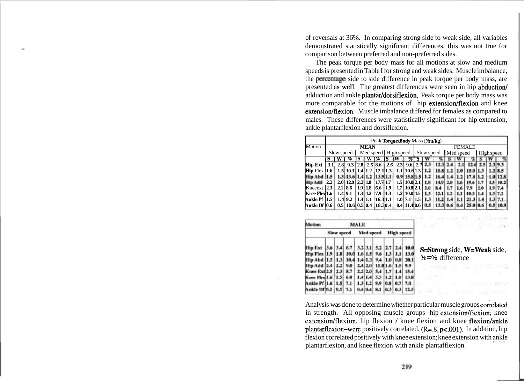of reversals at 36%. In comparing strong side to weak side, all variables demonstrated statistically significant differences, this was not true for comparison between preferred and non-preferred sides.

The peak torque per body mass for all motions at slow and medium speeds is presented in Table I for strong and weak sides. Muscle imbalance, the percentage side to side difference in peak torque per body mass, are presented as well. The greatest differences were seen in hip abduction/ adduction and ankle plantar/dorsiflexion. Peak torque per body mass was more comparable for the motions of hip extension/flexion and knee extension/flexion. Muscle imbalance differed for females as compared to males. These differences were statistically significant for hip extension, ankle plantarflexion and dorsiflexion.

|                             | Peak <b>Torque/Body</b> Mass (Nm/kg) |     |                                                |           |  |             |                      |     |                          |               |      |          |           |      |          |            |  |      |
|-----------------------------|--------------------------------------|-----|------------------------------------------------|-----------|--|-------------|----------------------|-----|--------------------------|---------------|------|----------|-----------|------|----------|------------|--|------|
| Motion                      | <b>MEAN</b>                          |     |                                                |           |  |             |                      |     |                          | <b>FEMALE</b> |      |          |           |      |          |            |  |      |
|                             | Slow speed                           |     |                                                |           |  |             | Med speed High speed |     |                          | Slow speed    |      |          | Med speed |      |          | High speed |  |      |
|                             | Ð                                    | W   | %                                              |           |  | $W^-$ %     | S                    | ΙW  | %                        | Б             |      |          |           |      |          |            |  |      |
| <b>Hip Ext</b>              | 3.1                                  |     | 2.8 9.3 2.8 2.5 8.6 2.6 2.3 9.6 2.7 2.3        |           |  |             |                      |     |                          |               |      | 12.3     |           |      |          |            |  |      |
| <b>Hip</b> Flex $\vert$ 1.6 |                                      |     | $1.5$ 10.3 $1.4$ 1.2 $12.1$ 1.3 $1.1$ 10.6 1.3 |           |  |             |                      |     |                          |               |      | 10.8 1.2 |           |      | 15.0 1.3 |            |  |      |
| Hip Abd H.S.                |                                      |     | 1.3  13.6  1.4  1.2   13.9  1.1                |           |  |             |                      |     | 0.9 15.8 1.5 1.2         |               |      |          |           |      |          |            |  |      |
| Hin Add 2.2                 |                                      |     | 2.0112.012.2118                                |           |  | 17.71.7     |                      |     | 1.5 10.0 2.1             |               | 1.8  | 14.9     | 2.0       | 1.6  |          |            |  | 10.2 |
| Kneeext 2.3                 |                                      |     | 2.118.6                                        | 1.9   1.8 |  | $16.6$ 11.9 |                      |     | $1.7 \mid 10.8 \mid 2.1$ |               | 2.0  |          |           |      |          |            |  |      |
| Knee Flex 1.6               |                                      |     | 1.4 9.1                                        | 1.3   1.2 |  | $17.9$ 1.3  |                      |     | $1.2$   10.0  1.5        |               |      | 12.1     |           |      | 10.3     |            |  | 7.2  |
| Ankle Pf   1.5              |                                      | 1.4 | 9.2                                            | $1.4$ 1.1 |  | 16.31.1     |                      | 1.0 | 7.1                      | 11.5          |      |          |           |      |          |            |  |      |
| Ankle Df  0.6               |                                      |     | $0.5$   10.6  0.5  0.4   18.30.4               |           |  |             |                      |     | 0.4 11.4 0.6             |               | 10.5 |          |           | 0.41 | 25.0 0.6 |            |  |      |

| <b>Motion</b>                                                 | MALE |  |                         |          |  |                            |                      |  |      |  |
|---------------------------------------------------------------|------|--|-------------------------|----------|--|----------------------------|----------------------|--|------|--|
|                                                               |      |  | Slow speed              |          |  |                            | Med speed High speed |  |      |  |
| Hip Ext  3.6   3.4   6.7   3.2   3.1   5.2   2.7   2.4   10.0 |      |  |                         |          |  |                            |                      |  |      |  |
| Hip Flex 1.9 1.8 10.0 1.6 1.5 9.6 1.3 1.1 13.0                |      |  |                         |          |  |                            |                      |  |      |  |
| Hip Abd [1.5   1.3   10.4 1.4 1.3   9.4   1.0   0.8           |      |  |                         |          |  |                            |                      |  | 20.1 |  |
| Hip Add [2.4 [2.2]                                            |      |  |                         |          |  | 9.0 2.4 2.0 15.8 1.6 1.5   |                      |  | 9.9  |  |
| Knee Ext(2.5   2.3                                            |      |  | 8.7 2.2 2.0 5.4 1.7 1.4 |          |  |                            |                      |  | 15.4 |  |
| Knee Flex 1.6   1.5                                           |      |  | 6.0                     | 1.411.41 |  | 5.5 1.2 1.0                |                      |  | 13.8 |  |
| Ankle Pf 1.6 1.5                                              |      |  | $7.1 +$                 |          |  | $1.3 1.2 $ 9.9 0.8 0.7 7.0 |                      |  |      |  |
| Ankie Df 0.5   0.5   7.1                                      |      |  |                         |          |  | 0.410.41 8.1 10.3 0.3 12.5 |                      |  |      |  |

S=Strong side, W=Weak side, %=% difference

and the second con-

with the control of the control

are main off in a city

 $\label{eq:3.1} \mathcal{L}(\mathcal{L}) = \mathcal{L}(\mathcal{L}) = \mathcal{L}(\mathcal{L}) = \mathcal{L}(\mathcal{L})$ 

Analysis was done to determine whether particular muscle groups correlated in strength. All opposing muscle groups-hip extension/flexion, knee extension/flexion, hip flexion / knee flexion and knee flexion/ankle plantarflexion-were positively correlated. (R=.8, p<.001). In addition, hip flexion correlated positively with knee extension; knee extension with ankle Part 1, 1990 1991 1992 plantarflexion, and knee flexion with ankle plantafflexion.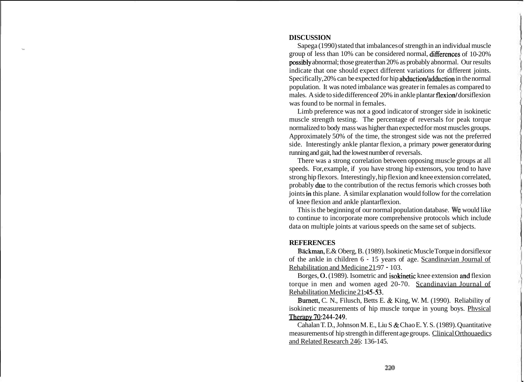# **DISCUSSION**

L Sapega (1990) stated that imbalances of strength in an individual muscle group of less than 10% can be considered normal, differences of 10-20% possibly abnormal; those greater than 20% as probably abnormal. Our results indicate that one should expect different variations for different joints. Specifically, 20% can be expected for hip abduction/adduction in the normal population. It was noted imbalance was greater in females as compared to males. A side to side difference of 20% in ankle plantar flexion/dorsiflexion was found to be normal in females.

Limb preference was not a good indicator of stronger side in isokinetic muscle strength testing. The percentage of reversals for peak torque normalized to body mass was higher than expected for most muscles groups. Approximately 50% of the time, the strongest side was not the preferred side. Interestingly ankle plantar flexion, a primary power generator during running and gait, had the lowest number of reversals.

There was a strong correlation between opposing muscle groups at all speeds. For, example, if you have strong hip extensors, you tend to have strong hip flexors. Interestingly, hip flexion and knee extension correlated, probably due to the contribution of the rectus femoris which crosses both joints in this plane. A similar explanation would follow for the correlation of knee flexion and ankle plantarflexion.

This is the beginning of our normal population database. we would like to continue to incorporate more comprehensive protocols which include data on multiple joints at various speeds on the same set of subjects.

# **REFERENCES**

Bäckman, E.& Oberg, B. (1989). Isokinetic Muscle Torque in dorsiflexor of the ankle in children 6 - 15 years of age. Scandinavian Journal of Rehabilitation and Medicine 21:97 - 103.

Borges, 0. (1989). Isometric and isokinetic knee extension and flexion torque in men and women aged 20-70. Scandinavian Journal of Rehabilitation Medicine 21:45-53.

Burnett, C. N., Filusch, Betts E. & King, W. M. (1990). Reliability of isokinetic measurements of hip muscle torque in young boys. Phvsical Therapy 70:244-249.

Cahalan T. D., Johnson M. E., Liu S & Chao E. Y. S. (1989). Quantitative measurements of hip strength in different age groups. Clinical Orthouaedics and Related Research 246: 136-145.